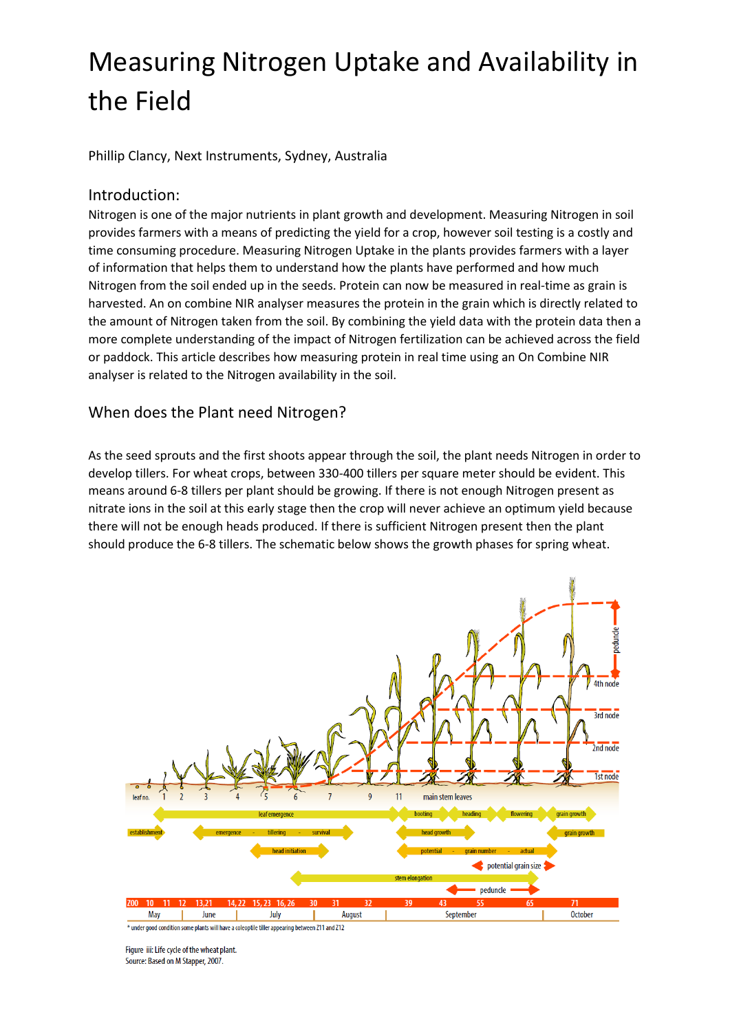# Measuring Nitrogen Uptake and Availability in the Field

Phillip Clancy, Next Instruments, Sydney, Australia

#### Introduction:

Nitrogen is one of the major nutrients in plant growth and development. Measuring Nitrogen in soil provides farmers with a means of predicting the yield for a crop, however soil testing is a costly and time consuming procedure. Measuring Nitrogen Uptake in the plants provides farmers with a layer of information that helps them to understand how the plants have performed and how much Nitrogen from the soil ended up in the seeds. Protein can now be measured in real-time as grain is harvested. An on combine NIR analyser measures the protein in the grain which is directly related to the amount of Nitrogen taken from the soil. By combining the yield data with the protein data then a more complete understanding of the impact of Nitrogen fertilization can be achieved across the field or paddock. This article describes how measuring protein in real time using an On Combine NIR analyser is related to the Nitrogen availability in the soil.

### When does the Plant need Nitrogen?

As the seed sprouts and the first shoots appear through the soil, the plant needs Nitrogen in order to develop tillers. For wheat crops, between 330-400 tillers per square meter should be evident. This means around 6-8 tillers per plant should be growing. If there is not enough Nitrogen present as nitrate ions in the soil at this early stage then the crop will never achieve an optimum yield because there will not be enough heads produced. If there is sufficient Nitrogen present then the plant should produce the 6-8 tillers. The schematic below shows the growth phases for spring wheat.



Figure iii: Life cycle of the wheat plant. Source: Based on M Stapper, 2007.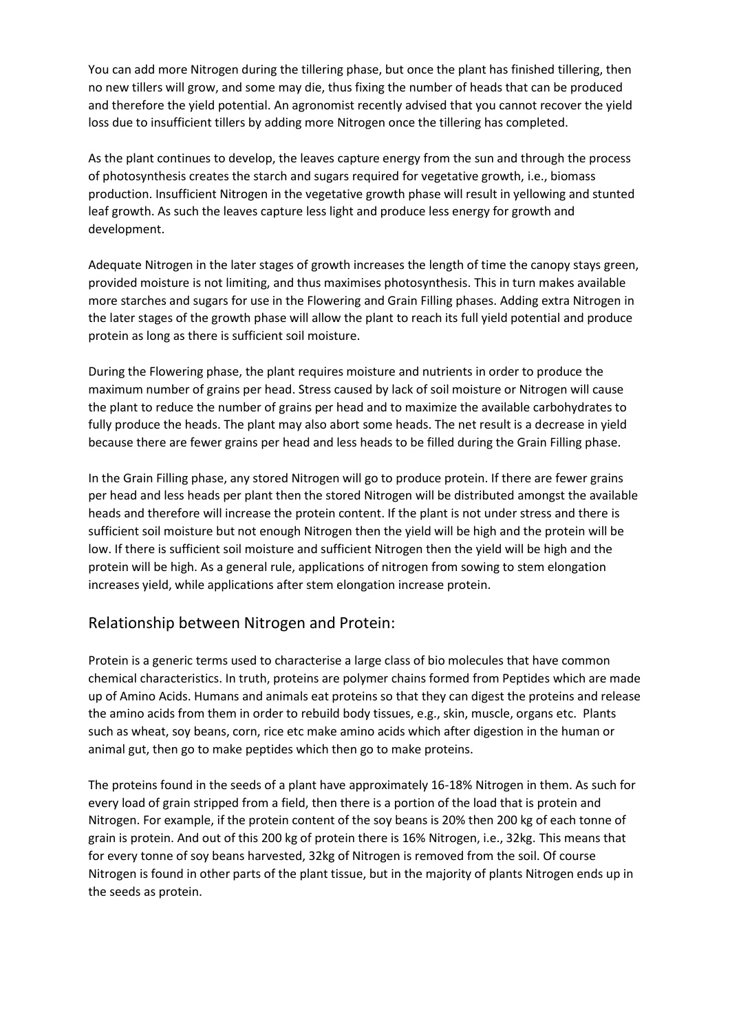You can add more Nitrogen during the tillering phase, but once the plant has finished tillering, then no new tillers will grow, and some may die, thus fixing the number of heads that can be produced and therefore the yield potential. An agronomist recently advised that you cannot recover the yield loss due to insufficient tillers by adding more Nitrogen once the tillering has completed.

As the plant continues to develop, the leaves capture energy from the sun and through the process of photosynthesis creates the starch and sugars required for vegetative growth, i.e., biomass production. Insufficient Nitrogen in the vegetative growth phase will result in yellowing and stunted leaf growth. As such the leaves capture less light and produce less energy for growth and development.

Adequate Nitrogen in the later stages of growth increases the length of time the canopy stays green, provided moisture is not limiting, and thus maximises photosynthesis. This in turn makes available more starches and sugars for use in the Flowering and Grain Filling phases. Adding extra Nitrogen in the later stages of the growth phase will allow the plant to reach its full yield potential and produce protein as long as there is sufficient soil moisture.

During the Flowering phase, the plant requires moisture and nutrients in order to produce the maximum number of grains per head. Stress caused by lack of soil moisture or Nitrogen will cause the plant to reduce the number of grains per head and to maximize the available carbohydrates to fully produce the heads. The plant may also abort some heads. The net result is a decrease in yield because there are fewer grains per head and less heads to be filled during the Grain Filling phase.

In the Grain Filling phase, any stored Nitrogen will go to produce protein. If there are fewer grains per head and less heads per plant then the stored Nitrogen will be distributed amongst the available heads and therefore will increase the protein content. If the plant is not under stress and there is sufficient soil moisture but not enough Nitrogen then the yield will be high and the protein will be low. If there is sufficient soil moisture and sufficient Nitrogen then the yield will be high and the protein will be high. As a general rule, applications of nitrogen from sowing to stem elongation increases yield, while applications after stem elongation increase protein.

## Relationship between Nitrogen and Protein:

Protein is a generic terms used to characterise a large class of bio molecules that have common chemical characteristics. In truth, proteins are polymer chains formed from Peptides which are made up of Amino Acids. Humans and animals eat proteins so that they can digest the proteins and release the amino acids from them in order to rebuild body tissues, e.g., skin, muscle, organs etc. Plants such as wheat, soy beans, corn, rice etc make amino acids which after digestion in the human or animal gut, then go to make peptides which then go to make proteins.

The proteins found in the seeds of a plant have approximately 16-18% Nitrogen in them. As such for every load of grain stripped from a field, then there is a portion of the load that is protein and Nitrogen. For example, if the protein content of the soy beans is 20% then 200 kg of each tonne of grain is protein. And out of this 200 kg of protein there is 16% Nitrogen, i.e., 32kg. This means that for every tonne of soy beans harvested, 32kg of Nitrogen is removed from the soil. Of course Nitrogen is found in other parts of the plant tissue, but in the majority of plants Nitrogen ends up in the seeds as protein.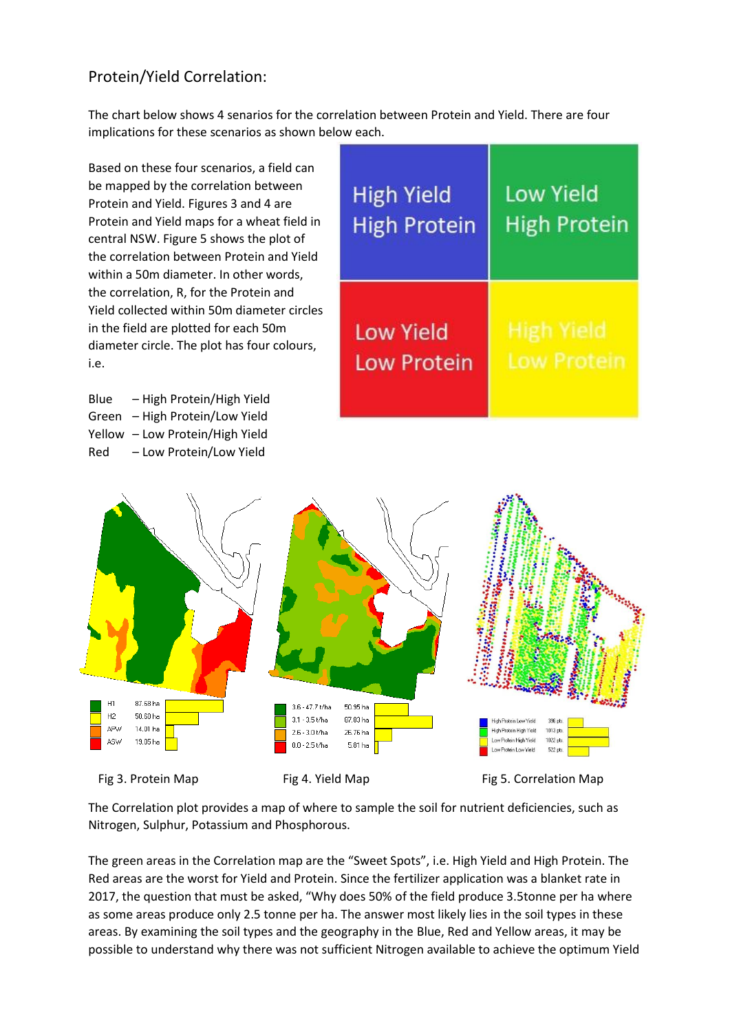# Protein/Yield Correlation:

The chart below shows 4 senarios for the correlation between Protein and Yield. There are four implications for these scenarios as shown below each.

Based on these four scenarios, a field can be mapped by the correlation between Protein and Yield. Figures 3 and 4 are Protein and Yield maps for a wheat field in central NSW. Figure 5 shows the plot of the correlation between Protein and Yield within a 50m diameter. In other words, the correlation, R, for the Protein and Yield collected within 50m diameter circles in the field are plotted for each 50m diameter circle. The plot has four colours, i.e.

Blue – High Protein/High Yield Green – High Protein/Low Yield Yellow – Low Protein/High Yield Red – Low Protein/Low Yield

| <b>High Yield</b>   | Low Yield           |
|---------------------|---------------------|
| <b>High Protein</b> | <b>High Protein</b> |
| <b>Low Yield</b>    | High Yield          |
| <b>Low Protein</b>  | <b>Low Protein</b>  |



The Correlation plot provides a map of where to sample the soil for nutrient deficiencies, such as Nitrogen, Sulphur, Potassium and Phosphorous.

The green areas in the Correlation map are the "Sweet Spots", i.e. High Yield and High Protein. The Red areas are the worst for Yield and Protein. Since the fertilizer application was a blanket rate in 2017, the question that must be asked, "Why does 50% of the field produce 3.5tonne per ha where as some areas produce only 2.5 tonne per ha. The answer most likely lies in the soil types in these areas. By examining the soil types and the geography in the Blue, Red and Yellow areas, it may be possible to understand why there was not sufficient Nitrogen available to achieve the optimum Yield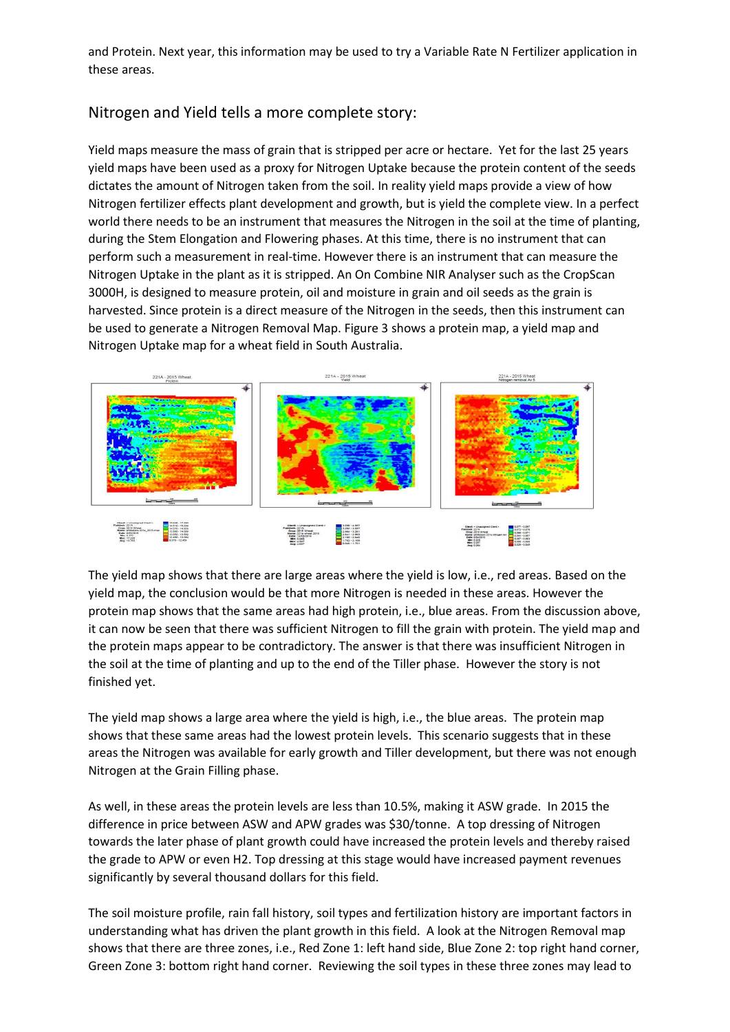and Protein. Next year, this information may be used to try a Variable Rate N Fertilizer application in these areas.

## Nitrogen and Yield tells a more complete story:

Yield maps measure the mass of grain that is stripped per acre or hectare. Yet for the last 25 years yield maps have been used as a proxy for Nitrogen Uptake because the protein content of the seeds dictates the amount of Nitrogen taken from the soil. In reality yield maps provide a view of how Nitrogen fertilizer effects plant development and growth, but is yield the complete view. In a perfect world there needs to be an instrument that measures the Nitrogen in the soil at the time of planting, during the Stem Elongation and Flowering phases. At this time, there is no instrument that can perform such a measurement in real-time. However there is an instrument that can measure the Nitrogen Uptake in the plant as it is stripped. An On Combine NIR Analyser such as the CropScan 3000H, is designed to measure protein, oil and moisture in grain and oil seeds as the grain is harvested. Since protein is a direct measure of the Nitrogen in the seeds, then this instrument can be used to generate a Nitrogen Removal Map. Figure 3 shows a protein map, a yield map and Nitrogen Uptake map for a wheat field in South Australia.



The yield map shows that there are large areas where the yield is low, i.e., red areas. Based on the yield map, the conclusion would be that more Nitrogen is needed in these areas. However the protein map shows that the same areas had high protein, i.e., blue areas. From the discussion above, it can now be seen that there was sufficient Nitrogen to fill the grain with protein. The yield map and the protein maps appear to be contradictory. The answer is that there was insufficient Nitrogen in the soil at the time of planting and up to the end of the Tiller phase. However the story is not finished yet.

The yield map shows a large area where the yield is high, i.e., the blue areas. The protein map shows that these same areas had the lowest protein levels. This scenario suggests that in these areas the Nitrogen was available for early growth and Tiller development, but there was not enough Nitrogen at the Grain Filling phase.

As well, in these areas the protein levels are less than 10.5%, making it ASW grade. In 2015 the difference in price between ASW and APW grades was \$30/tonne. A top dressing of Nitrogen towards the later phase of plant growth could have increased the protein levels and thereby raised the grade to APW or even H2. Top dressing at this stage would have increased payment revenues significantly by several thousand dollars for this field.

The soil moisture profile, rain fall history, soil types and fertilization history are important factors in understanding what has driven the plant growth in this field. A look at the Nitrogen Removal map shows that there are three zones, i.e., Red Zone 1: left hand side, Blue Zone 2: top right hand corner, Green Zone 3: bottom right hand corner. Reviewing the soil types in these three zones may lead to